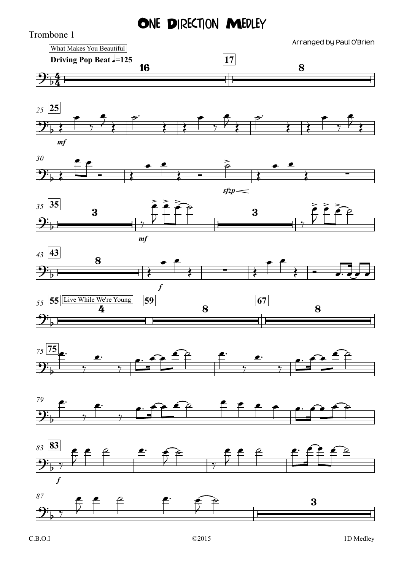## ONE DIRECTION MEDLEY